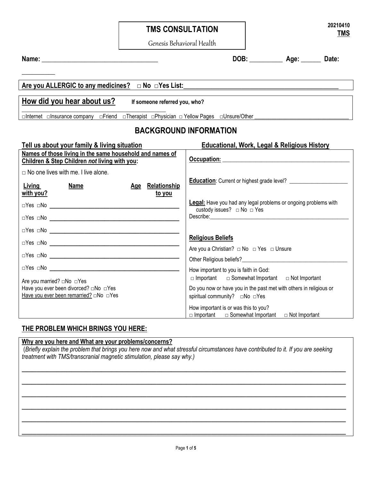# **TMS CONSULTATION**

*Genesis Behavioral Health* Genesis Behavioral Health

**\_\_\_\_\_\_\_\_\_\_**

**Name: \_\_\_\_\_\_\_\_\_\_\_\_\_\_\_\_\_\_\_\_\_\_\_\_\_\_\_\_\_\_\_\_\_\_\_ DOB: \_\_\_\_\_\_\_\_\_\_ Age: \_\_\_\_\_\_ Date:** 

## Are you ALLERGIC to any medicines? □ No □Yes List:

# **How did you hear about us? If someone referred you, who?**

**\_\_\_\_\_\_\_\_\_\_\_\_\_\_\_\_\_\_\_\_\_\_\_\_\_\_\_\_\_\_\_\_\_\_\_\_\_\_\_\_\_\_\_\_\_\_\_\_\_\_\_\_**

□Internet □Insurance company □Friend □Therapist □Physician □ Yellow Pages □Unsure/Other \_\_\_\_\_\_\_\_\_\_\_\_\_\_\_\_\_\_\_\_\_\_\_\_\_\_\_\_\_\_\_\_\_\_

## **BACKGROUND INFORMATION**

| Tell us about your family & living situation                                                                                   | <b>Educational, Work, Legal &amp; Religious History</b>                                                        |
|--------------------------------------------------------------------------------------------------------------------------------|----------------------------------------------------------------------------------------------------------------|
| Names of those living in the same household and names of<br>Children & Step Children not living with you:                      |                                                                                                                |
| $\Box$ No one lives with me. I live alone.                                                                                     |                                                                                                                |
| Relationship<br><b>Living</b><br>Name<br><u>Age</u><br><u>with you?</u><br><u>to you</u>                                       |                                                                                                                |
|                                                                                                                                | <b>Legal:</b> Have you had any legal problems or ongoing problems with<br>custody issues? $\Box$ No $\Box$ Yes |
|                                                                                                                                |                                                                                                                |
|                                                                                                                                |                                                                                                                |
|                                                                                                                                | <b>Religious Beliefs</b>                                                                                       |
|                                                                                                                                | Are you a Christian? $\Box$ No $\Box$ Yes $\Box$ Unsure                                                        |
|                                                                                                                                | How important to you is faith in God:<br>$\Box$ Important $\Box$ Somewhat Important $\Box$ Not Important       |
| Are you married? □No □Yes<br>Have you ever been divorced? □No □Yes<br>Have you ever been remarried? $\square$ No $\square$ Yes | Do you now or have you in the past met with others in religious or<br>spiritual community? □No □Yes            |
|                                                                                                                                | How important is or was this to you?<br>$\Box$ Important $\Box$ Somewhat Important $\Box$ Not Important        |

#### **THE PROBLEM WHICH BRINGS YOU HERE:**

#### **Why are you here and What are your problems/concerns?**

(*Briefly explain the problem that brings you here now and what stressful circumstances have contributed to it. If you are seeking treatment with TMS/transcranial magnetic stimulation, please say why.)*

 $\overline{\phantom{a}}$  , and the contract of the contract of the contract of the contract of the contract of the contract of the contract of the contract of the contract of the contract of the contract of the contract of the contrac

 $\overline{\phantom{a}}$  , and the contract of the contract of the contract of the contract of the contract of the contract of the contract of the contract of the contract of the contract of the contract of the contract of the contrac

 $\overline{\phantom{a}}$  , and the contract of the contract of the contract of the contract of the contract of the contract of the contract of the contract of the contract of the contract of the contract of the contract of the contrac

 $\overline{\phantom{a}}$  , and the contract of the contract of the contract of the contract of the contract of the contract of the contract of the contract of the contract of the contract of the contract of the contract of the contrac

 $\overline{\phantom{a}}$  , and the contract of the contract of the contract of the contract of the contract of the contract of the contract of the contract of the contract of the contract of the contract of the contract of the contrac

 $\overline{\phantom{a}}$  , and the contract of the contract of the contract of the contract of the contract of the contract of the contract of the contract of the contract of the contract of the contract of the contract of the contrac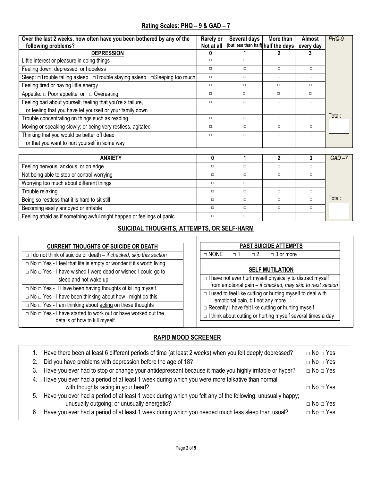#### **Rating Scales: PHQ – 9 & GAD – 7**

| Over the last 2 weeks, how often have you been bothered by any of the                          | <b>Rarely or</b> | Several days                       | More than | <b>Almost</b> | PHQ-9  |
|------------------------------------------------------------------------------------------------|------------------|------------------------------------|-----------|---------------|--------|
| following problems?                                                                            | Not at all       | (but less than half) half the days |           | every day     |        |
| <b>DEPRESSION</b>                                                                              | 0                |                                    |           |               |        |
| Little interest or pleasure in doing things                                                    | $\Box$           | $\Box$                             | $\Box$    | $\Box$        |        |
| Feeling down, depressed, or hopeless                                                           | $\Box$           | $\Box$                             | $\Box$    | $\Box$        |        |
| Sleep: $\Box$ Trouble falling asleep $\Box$ Trouble staying asleep<br>$\Box$ Sleeping too much | □                | $\Box$                             | $\Box$    | $\Box$        |        |
| Feeling tired or having little energy                                                          | $\Box$           | $\Box$                             | $\Box$    | $\Box$        |        |
| Appetite: $\Box$ Poor appetite or $\Box$ Overeating                                            | п                | $\Box$                             | $\Box$    | п             |        |
| Feeling bad about yourself, feeling that you're a failure,                                     | п                | $\Box$                             | $\Box$    | $\Box$        |        |
| or feeling that you have let yourself or your family down                                      |                  |                                    |           |               |        |
| Trouble concentrating on things such as reading                                                | $\Box$           | $\Box$                             | $\Box$    | $\Box$        | Total: |
| Moving or speaking slowly; or being very restless, agitated                                    | $\Box$           | $\Box$                             | $\Box$    | $\Box$        |        |
| Thinking that you would be better off dead                                                     | п                | $\Box$                             | $\Box$    | $\Box$        |        |
| or that you want to hurt yourself in some way                                                  |                  |                                    |           |               |        |
|                                                                                                |                  |                                    |           |               |        |
| <b>ANXIETY</b>                                                                                 | 0                |                                    |           | 3             | GAD –i |

| <b>ANXIETY</b>                                                         |  |  | GAD –  |
|------------------------------------------------------------------------|--|--|--------|
| Feeling nervous, anxious, or on edge                                   |  |  |        |
| Not being able to stop or control worrying                             |  |  |        |
| Worrying too much about different things                               |  |  |        |
| Trouble relaxing                                                       |  |  |        |
| Being so restless that it is hard to sit still                         |  |  | Total: |
| Becoming easily annoyed or irritable                                   |  |  |        |
| Feeling afraid as if something awful might happen or feelings of panic |  |  |        |

## **SUICIDAL THOUGHTS, ATTEMPTS, OR SELF-HARM**

| <b>CURRENT THOUGHTS OF SUICIDE OR DEATH</b>                                                                | <b>PAST SUICIDE ATTEMPTS</b>                                                                          |  |  |
|------------------------------------------------------------------------------------------------------------|-------------------------------------------------------------------------------------------------------|--|--|
| $\Box$ I do not think of suicide or death – if checked, skip this section                                  | $\Box$ NONE<br>$\Box$ 3 or more<br>$\Box$ 2<br>$\Box$ 1                                               |  |  |
| $\Box$ No $\Box$ Yes - I feel that life is empty or wonder if it's worth living                            |                                                                                                       |  |  |
| $\Box$ No $\Box$ Yes - I have wished I were dead or wished I could go to                                   | <b>SELF MUTILATION</b>                                                                                |  |  |
| sleep and not wake up.                                                                                     | $\Box$ I have not ever hurt myself physically to distract myself                                      |  |  |
| $\overline{\Box}$ No $\Box$ Yes - I Have been having thoughts of killing myself                            | from emotional pain - if checked, may skip to next section                                            |  |  |
| $\Box$ No $\Box$ Yes - I have been thinking about how I might do this.                                     | $\Box$ I used to feel like cutting or hurting myself to deal with<br>emotional pain, b t not any more |  |  |
| $\Box$ No $\Box$ Yes - I am thinking about acting on these thoughts                                        | □ Recently I have felt like cutting or hurting myself                                                 |  |  |
| $\Box$ No $\Box$ Yes - I have started to work out or have worked out the<br>details of how to kill myself. | $\Box$ I think about cutting or hurting myself several times a day                                    |  |  |

#### **RAPID MOOD SCREENER**

| 2. | Have there been at least 6 different periods of time (at least 2 weeks) when you felt deeply depressed?<br>Did you have problems with depression before the age of 18? | $\Box$ No $\Box$ Yes<br>$\Box$ No $\Box$ Yes |
|----|------------------------------------------------------------------------------------------------------------------------------------------------------------------------|----------------------------------------------|
|    | 3. Have you ever had to stop or change your antidepressant because it made you highly irritable or hyper?                                                              | $\Box$ No $\Box$ Yes                         |
|    | 4. Have you ever had a period of at least 1 week during which you were more talkative than normal<br>with thoughts racing in your head?                                | $\Box$ No $\Box$ Yes                         |
|    | 5. Have you ever had a period of at least 1 week during which you felt any of the following: unusually happy;<br>unusually outgoing; or unusually energetic?           | $\Box$ No $\Box$ Yes                         |
| 6. | Have you ever had a period of at least 1 week during which you needed much less sleep than usual?                                                                      | $\Box$ No $\Box$ Yes                         |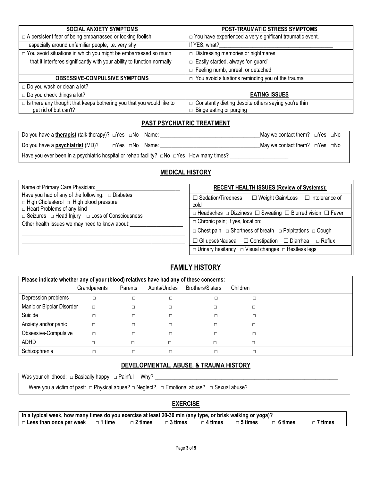| <b>SOCIAL ANXIETY SYMPTOMS</b>                                              | POST-TRAUMATIC STRESS SYMPTOMS                                  |
|-----------------------------------------------------------------------------|-----------------------------------------------------------------|
| $\Box$ A persistent fear of being embarrassed or looking foolish,           | $\Box$ You have experienced a very significant traumatic event. |
| especially around unfamiliar people, i.e. very shy                          | If YES, what?                                                   |
| □ You avoid situations in which you might be embarrassed so much            | $\Box$ Distressing memories or nightmares                       |
| that it interferes significantly with your ability to function normally     | □ Easily startled, always 'on guard'                            |
|                                                                             | $\Box$ Feeling numb, unreal, or detached                        |
| <b>OBSESSIVE-COMPULSIVE SYMPTOMS</b>                                        | $\Box$ You avoid situations reminding you of the trauma         |
| $\Box$ Do you wash or clean a lot?                                          |                                                                 |
| $\Box$ Do you check things a lot?                                           | <b>EATING ISSUES</b>                                            |
| $\Box$ Is there any thought that keeps bothering you that you would like to | □ Constantly dieting despite others saying you're thin          |
| get rid of but can't?                                                       | $\Box$ Binge eating or purging                                  |

### **PAST PSYCHIATRIC TREATMENT**

| Do you have a <i>therapist</i> (talk therapy)? $\Box$ Yes $\Box$ No Name:                            |  |                | May we contact them? $\Box$ Yes $\Box$ No       |  |
|------------------------------------------------------------------------------------------------------|--|----------------|-------------------------------------------------|--|
| Do you have a <b>psychiatrist</b> (MD)?                                                              |  | ⊡Yes ⊡No Name: | May we contact them? $\square$ Yes $\square$ No |  |
| Have you ever been in a psychiatric hospital or rehab facility? $\Box$ No $\Box$ Yes How many times? |  |                |                                                 |  |

#### **MEDICAL HISTORY**

| Name of Primary Care Physician:                                                                      | <b>RECENT HEALTH ISSUES (Review of Systems):</b>                                     |  |  |
|------------------------------------------------------------------------------------------------------|--------------------------------------------------------------------------------------|--|--|
| Have you had of any of the following: $\Box$ Diabetes<br>□ High Cholesterol □ High blood pressure    | $\Box$ Weight Gain/Loss $\Box$ Intolerance of<br>$\Box$ Sedation/Tiredness<br>cold   |  |  |
| $\Box$ Heart Problems of any kind<br>$\Box$ Seizures $\Box$ Head Injury $\Box$ Loss of Consciousness | $\Box$ Headaches $\Box$ Dizziness $\Box$ Sweating $\Box$ Blurred vision $\Box$ Fever |  |  |
| Other health issues we may need to know about:                                                       | $\Box$ Chronic pain; If yes, location:                                               |  |  |
|                                                                                                      | $\Box$ Chest pain $\Box$ Shortness of breath $\Box$ Palpitations $\Box$ Cough        |  |  |
|                                                                                                      | $\Box$ GI upset/Nausea $\Box$ Constipation $\Box$ Diarrhea<br>⊟ Reflux               |  |  |
|                                                                                                      | $\Box$ Urinary hesitancy $\Box$ Visual changes $\Box$ Restless legs                  |  |  |

## **FAMILY HISTORY**

| Please indicate whether any of your (blood) relatives have had any of these concerns: |              |         |              |                  |          |  |
|---------------------------------------------------------------------------------------|--------------|---------|--------------|------------------|----------|--|
|                                                                                       | Grandparents | Parents | Aunts/Uncles | Brothers/Sisters | Children |  |
| Depression problems                                                                   | □            |         |              |                  |          |  |
| Manic or Bipolar Disorder                                                             | $\Box$       | $\Box$  |              |                  |          |  |
| Suicide                                                                               |              |         |              |                  |          |  |
| Anxiety and/or panic                                                                  |              |         |              |                  |          |  |
| Obsessive-Compulsive                                                                  |              |         |              |                  |          |  |
| <b>ADHD</b>                                                                           |              |         |              |                  |          |  |
| Schizophrenia                                                                         |              |         |              |                  |          |  |

# **DEVELOPMENTAL, ABUSE, & TRAUMA HISTORY**

Was your childhood: □ Basically happy □ Painful Why? \_\_\_\_\_\_\_\_\_\_\_\_\_\_\_\_\_\_\_\_\_\_\_\_\_\_

| Were you a victim of past: $\Box$ Physical abuse? $\Box$ Neglect? $\Box$ Emotional abuse? $\Box$ Sexual abuse? |  |  |
|----------------------------------------------------------------------------------------------------------------|--|--|
|----------------------------------------------------------------------------------------------------------------|--|--|

#### **EXERCISE**

| In a typical week, how many times do you exercise at least 20-30 min (any type, or brisk walking or yoga)? |  |                                                                            |  |                |
|------------------------------------------------------------------------------------------------------------|--|----------------------------------------------------------------------------|--|----------------|
| $\Box$ Less than once per week $\Box$ 1 time                                                               |  | $\Box$ 2 times $\Box$ 3 times $\Box$ 4 times $\Box$ 5 times $\Box$ 6 times |  | $\Box$ 7 times |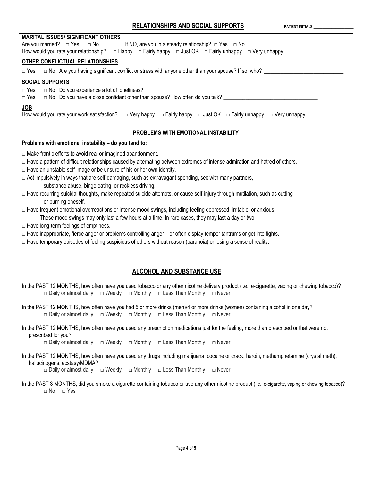| <b>MARITAL ISSUES/ SIGNIFICANT OTHERS</b><br>Are you married? $\Box$ Yes $\Box$ No<br>If NO, are you in a steady relationship? $\Box$ Yes $\Box$ No<br>How would you rate your relationship? $\Box$ Happy $\Box$ Fairly happy $\Box$ Just OK $\Box$ Fairly unhappy $\Box$ Very unhappy |
|----------------------------------------------------------------------------------------------------------------------------------------------------------------------------------------------------------------------------------------------------------------------------------------|
| OTHER CONFLICTUAL RELATIONSHIPS                                                                                                                                                                                                                                                        |
| $\Box$ Yes $\Box$ No Are you having significant conflict or stress with anyone other than your spouse? If so, who?                                                                                                                                                                     |
| <b>SOCIAL SUPPORTS</b><br>$\Box$ No Do you experience a lot of loneliness?<br>$\Box$ Yes<br>$\Box$ No Do you have a close confidant other than spouse? How often do you talk?<br>$\Box$ Yes                                                                                            |
| JOB<br>How would you rate your work satisfaction? $\Box$ Very happy $\Box$ Fairly happy $\Box$ Just OK $\Box$ Fairly unhappy $\Box$ Very unhappy                                                                                                                                       |
| <b>PROBLEMS WITH EMOTIONAL INSTABILITY</b>                                                                                                                                                                                                                                             |
| Problems with emotional instability - do you tend to:                                                                                                                                                                                                                                  |
| $\Box$ Make frantic efforts to avoid real or imagined abandonment.<br>□ Have a pattern of difficult relationships caused by alternating between extremes of intense admiration and hatred of others.<br>$\Box$ Have an unstable self-image or be unsure of his or her own identity.    |

- $\Box$  Act impulsively in ways that are self-damaging, such as extravagant spending, sex with many partners, [substance abuse,](http://www.webmd.com/hw-popup/substance-abuse) [binge eating,](http://www.webmd.com/hw-popup/binge-eating-disorder) or reckless driving.
- $\Box$  Have recurring [suicidal](http://www.webmd.com/mental-health/tc/suicidal-thoughts-or-threats-topic-overview) thoughts, make repeated suicide attempts, or cause self-injury through mutilation, such as cutting or burning oneself.
- $\Box$  Have frequent emotional overreactions or intense mood swings, including feeling depressed, irritable, or anxious. These mood swings may only last a few hours at a time. In rare cases, they may last a day or two.
- $\Box$  Have long-term feelings of emptiness.
- $\Box$  Have inappropriate, fierce anger or problems controlling anger or often display [temper tantrums](http://children.webmd.com/tc/temper-tantrums-topic-overview) or get into fights.
- $\Box$  Have temporary episodes of feeling suspicious of others without reason (paranoia) or losing a sense of reality.

#### **ALCOHOL AND SUBSTANCE USE**

In the PAST 12 MONTHS, how often have you used tobacco or any other nicotine delivery product (i.e., e-cigarette, vaping or chewing tobacco)? □ Daily or almost daily □ Weekly □ Monthly □ Less Than Monthly □ Never In the PAST 12 MONTHS, how often have you had 5 or more drinks (men)/4 or more drinks (women) containing alcohol in one day? □ Daily or almost daily □ Weekly □ Monthly □ Less Than Monthly □ Never In the PAST 12 MONTHS, how often have you used any prescription medications just for the feeling, more than prescribed or that were not prescribed for you? □ Daily or almost daily □ Weekly □ Monthly □ Less Than Monthly □ Never In the PAST 12 MONTHS, how often have you used any drugs including marijuana, cocaine or crack, heroin, methamphetamine (crystal meth),

 hallucinogens, ecstasy/MDMA? □ Daily or almost daily □ Weekly □ Monthly □ Less Than Monthly □ Never

In the PAST 3 MONTHS, did you smoke a cigarette containing tobacco or use any other nicotine product (i.e., e-cigarette, vaping or chewing tobacco)? □ No □ Yes